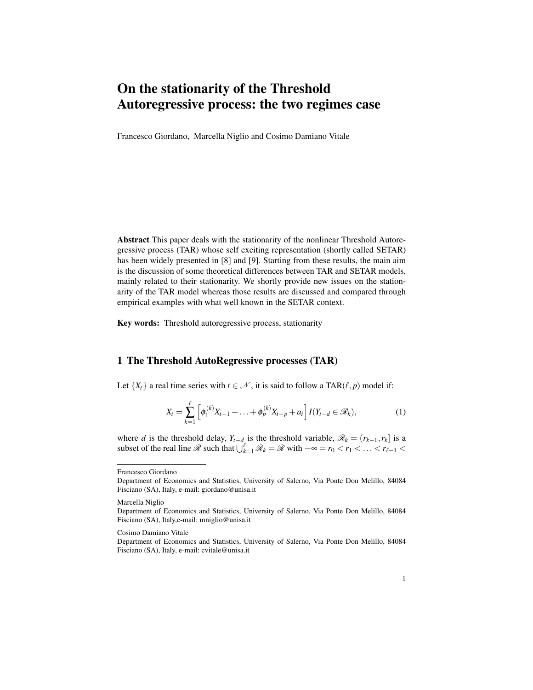# On the stationarity of the Threshold Autoregressive process: the two regimes case

Francesco Giordano, Marcella Niglio and Cosimo Damiano Vitale

Abstract This paper deals with the stationarity of the nonlinear Threshold Autoregressive process (TAR) whose self exciting representation (shortly called SETAR) has been widely presented in [8] and [9]. Starting from these results, the main aim is the discussion of some theoretical differences between TAR and SETAR models, mainly related to their stationarity. We shortly provide new issues on the stationarity of the TAR model whereas those results are discussed and compared through empirical examples with what well known in the SETAR context.

Key words: Threshold autoregressive process, stationarity

## 1 The Threshold AutoRegressive processes (TAR)

Let  $\{X_t\}$  a real time series with  $t \in \mathcal{N}$ , it is said to follow a TAR( $\ell, p$ ) model if:

$$
X_t = \sum_{k=1}^{\ell} \left[ \phi_1^{(k)} X_{t-1} + \ldots + \phi_p^{(k)} X_{t-p} + a_t \right] I(Y_{t-d} \in \mathcal{R}_k), \tag{1}
$$

where *d* is the threshold delay,  $Y_{t-d}$  is the threshold variable,  $\mathcal{R}_k = (r_{k-1}, r_k]$  is a subset of the real line  $\mathcal{R}$  such that  $\bigcup_{k=1}^{\ell} \mathcal{R}_k = \mathcal{R}$  with  $-\infty = r_0 < r_1 < \ldots < r_{\ell-1} <$ 

Francesco Giordano

Marcella Niglio

Department of Economics and Statistics, University of Salerno, Via Ponte Don Melillo, 84084 Fisciano (SA), Italy, e-mail: giordano@unisa.it

Department of Economics and Statistics, University of Salerno, Via Ponte Don Melillo, 84084 Fisciano (SA), Italy,e-mail: mniglio@unisa.it

Cosimo Damiano Vitale

Department of Economics and Statistics, University of Salerno, Via Ponte Don Melillo, 84084 Fisciano (SA), Italy, e-mail: cvitale@unisa.it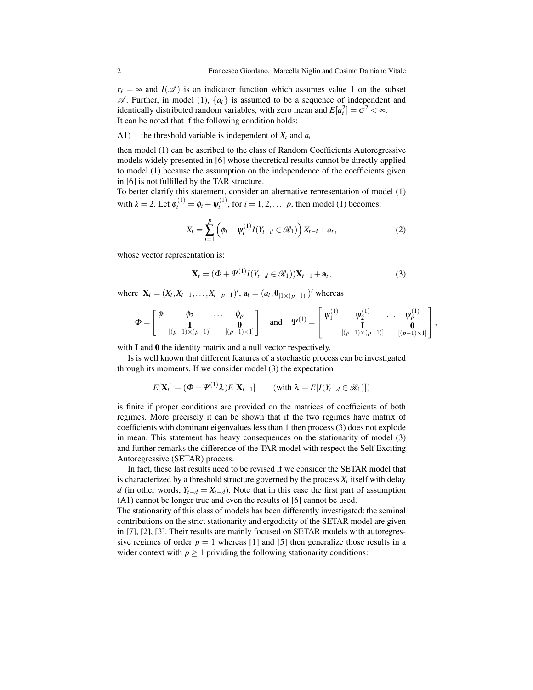$r_{\ell} = \infty$  and *I*( $\mathscr{A}$ ) is an indicator function which assumes value 1 on the subset  $\mathscr A$ . Further, in model (1),  $\{a_t\}$  is assumed to be a sequence of independent and identically distributed random variables, with zero mean and  $E[a_t^2] = \sigma^2 < \infty$ . It can be noted that if the following condition holds:

#### A1) the threshold variable is independent of *X<sup>t</sup>* and *a<sup>t</sup>*

then model (1) can be ascribed to the class of Random Coefficients Autoregressive models widely presented in [6] whose theoretical results cannot be directly applied to model (1) because the assumption on the independence of the coefficients given in [6] is not fulfilled by the TAR structure.

To better clarify this statement, consider an alternative representation of model (1) with  $k = 2$ . Let  $\phi_i^{(1)} = \phi_i + \psi_i^{(1)}$  $i_i^{(1)}$ , for  $i = 1, 2, ..., p$ , then model (1) becomes:

$$
X_{t} = \sum_{i=1}^{p} \left( \phi_{i} + \psi_{i}^{(1)} I(Y_{t-d} \in \mathcal{R}_{1}) \right) X_{t-i} + a_{t}, \qquad (2)
$$

whose vector representation is:

$$
\mathbf{X}_t = (\boldsymbol{\Phi} + \boldsymbol{\Psi}^{(1)} I(Y_{t-d} \in \mathcal{R}_1)) \mathbf{X}_{t-1} + \mathbf{a}_t, \tag{3}
$$

where  $\mathbf{X}_t = (X_t, X_{t-1}, \dots, X_{t-p+1})'$ ,  $\mathbf{a}_t = (a_t, \mathbf{0}_{[1 \times (p-1)]})'$  whereas

$$
\Phi = \begin{bmatrix} \phi_1 & \phi_2 & \cdots & \phi_p \\ \mathbf{I} & \mathbf{I} & \mathbf{0} \\ [(\mathbf{p-1}) \times (\mathbf{p-1})] & [(\mathbf{p-1}) \times 1] \end{bmatrix} \quad \text{and} \quad \Psi^{(1)} = \begin{bmatrix} \Psi_1^{(1)} & \Psi_2^{(1)} & \cdots & \Psi_p^{(1)} \\ \mathbf{I} & \mathbf{I} & \mathbf{0} \\ [(\mathbf{p-1}) \times (\mathbf{p-1})] & [(\mathbf{p-1}) \times 1] \end{bmatrix},
$$

with **I** and **0** the identity matrix and a null vector respectively.

Is is well known that different features of a stochastic process can be investigated through its moments. If we consider model (3) the expectation

$$
E[\mathbf{X}_t] = (\Phi + \Psi^{(1)} \lambda) E[\mathbf{X}_{t-1}] \qquad (\text{with } \lambda = E[I(Y_{t-d} \in \mathcal{R}_1)])
$$

is finite if proper conditions are provided on the matrices of coefficients of both regimes. More precisely it can be shown that if the two regimes have matrix of coefficients with dominant eigenvalues less than 1 then process (3) does not explode in mean. This statement has heavy consequences on the stationarity of model (3) and further remarks the difference of the TAR model with respect the Self Exciting Autoregressive (SETAR) process.

In fact, these last results need to be revised if we consider the SETAR model that is characterized by a threshold structure governed by the process  $X_t$  itself with delay *d* (in other words,  $Y_{t-d} = X_{t-d}$ ). Note that in this case the first part of assumption (A1) cannot be longer true and even the results of [6] cannot be used.

The stationarity of this class of models has been differently investigated: the seminal contributions on the strict stationarity and ergodicity of the SETAR model are given in [7], [2], [3]. Their results are mainly focused on SETAR models with autoregressive regimes of order  $p = 1$  whereas [1] and [5] then generalize those results in a wider context with  $p \ge 1$  prividing the following stationarity conditions: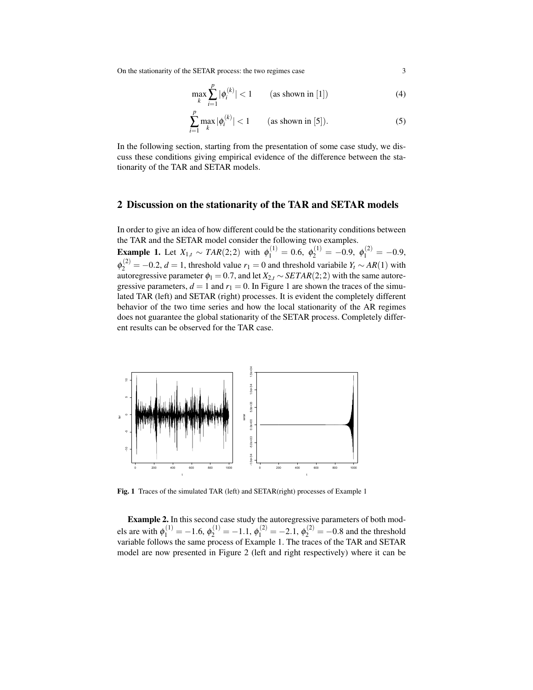On the stationarity of the SETAR process: the two regimes case 3

$$
\max_{k} \sum_{i=1}^{p} |\phi_i^{(k)}| < 1 \qquad \text{(as shown in [1])} \tag{4}
$$

$$
\sum_{i=1}^{p} \max_{k} |\phi_i^{(k)}| < 1 \qquad \text{(as shown in [5]).} \tag{5}
$$

In the following section, starting from the presentation of some case study, we discuss these conditions giving empirical evidence of the difference between the stationarity of the TAR and SETAR models.

## 2 Discussion on the stationarity of the TAR and SETAR models

In order to give an idea of how different could be the stationarity conditions between the TAR and the SETAR model consider the following two examples. **Example 1.** Let  $X_{1,t} \sim \text{TAR}(2,2)$  with  $\phi_1^{(1)} = 0.6$ ,  $\phi_2^{(1)} = -0.9$ ,  $\phi_1^{(2)} = -0.9$ ,  $\phi_2^{(2)} = -0.2$ , *d* = 1, threshold value *r*<sub>1</sub> = 0 and threshold variabile *Y<sub>t</sub>* ∼ *AR*(1) with autoregressive parameter  $\phi_1 = 0.7$ , and let  $X_{2,t} \sim \text{SETAR}(2,2)$  with the same autoregressive parameters,  $d = 1$  and  $r_1 = 0$ . In Figure 1 are shown the traces of the simulated TAR (left) and SETAR (right) processes. It is evident the completely different behavior of the two time series and how the local stationarity of the AR regimes does not guarantee the global stationarity of the SETAR process. Completely different results can be observed for the TAR case.



Fig. 1 Traces of the simulated TAR (left) and SETAR(right) processes of Example 1

Example 2. In this second case study the autoregressive parameters of both models are with  $\phi_1^{(1)} = -1.6$ ,  $\phi_2^{(1)} = -1.1$ ,  $\phi_1^{(2)} = -2.1$ ,  $\phi_2^{(2)} = -0.8$  and the threshold variable follows the same process of Example 1. The traces of the TAR and SETAR model are now presented in Figure 2 (left and right respectively) where it can be